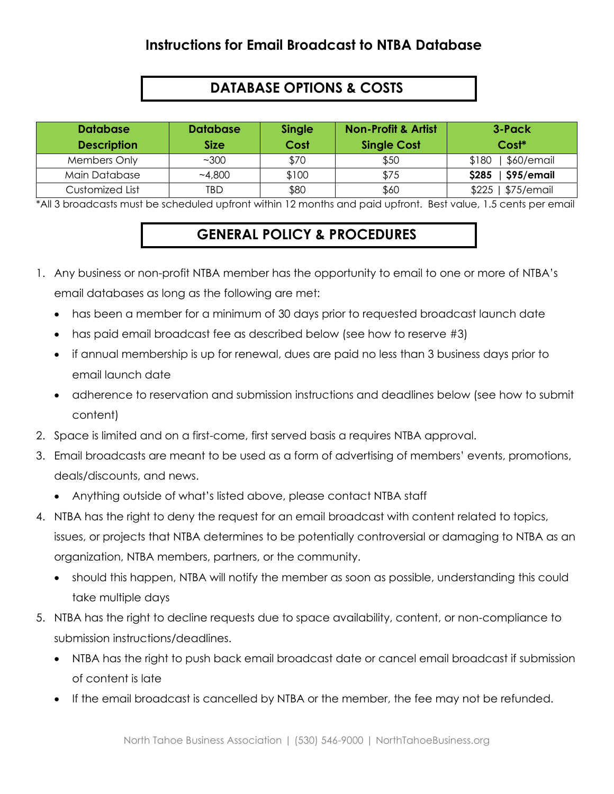## **Instructions for Email Broadcast to NTBA Database**

# **DATABASE OPTIONS & COSTS**

| <b>Database</b><br><b>Description</b> | <b>Database</b><br><b>Size</b> | Single<br>Cost | <b>Non-Profit &amp; Artist</b><br><b>Single Cost</b> | 3-Pack<br>Cost*     |
|---------------------------------------|--------------------------------|----------------|------------------------------------------------------|---------------------|
| Members Only                          | ~100                           | \$70           | \$50                                                 | \$60/email<br>\$180 |
| Main Database                         | ~1,800                         | \$100          | \$75                                                 | \$95/email<br>\$285 |
| Customized List                       | TBD                            | \$80           | \$60                                                 | \$75/emu<br>$$225$  |

\*All 3 broadcasts must be scheduled upfront within 12 months and paid upfront. Best value, 1.5 cents per email

# **GENERAL POLICY & PROCEDURES**

- 1. Any business or non-profit NTBA member has the opportunity to email to one or more of NTBA's email databases as long as the following are met:
	- has been a member for a minimum of 30 days prior to requested broadcast launch date
	- has paid email broadcast fee as described below (see how to reserve #3)
	- if annual membership is up for renewal, dues are paid no less than 3 business days prior to email launch date
	- adherence to reservation and submission instructions and deadlines below (see how to submit content)
- 2. Space is limited and on a first-come, first served basis a requires NTBA approval.
- 3. Email broadcasts are meant to be used as a form of advertising of members' events, promotions, deals/discounts, and news.
	- Anything outside of what's listed above, please contact NTBA staff
- 4. NTBA has the right to deny the request for an email broadcast with content related to topics, issues, or projects that NTBA determines to be potentially controversial or damaging to NTBA as an organization, NTBA members, partners, or the community.
	- should this happen, NTBA will notify the member as soon as possible, understanding this could take multiple days
- 5. NTBA has the right to decline requests due to space availability, content, or non-compliance to submission instructions/deadlines.
	- NTBA has the right to push back email broadcast date or cancel email broadcast if submission of content is late
	- If the email broadcast is cancelled by NTBA or the member, the fee may not be refunded.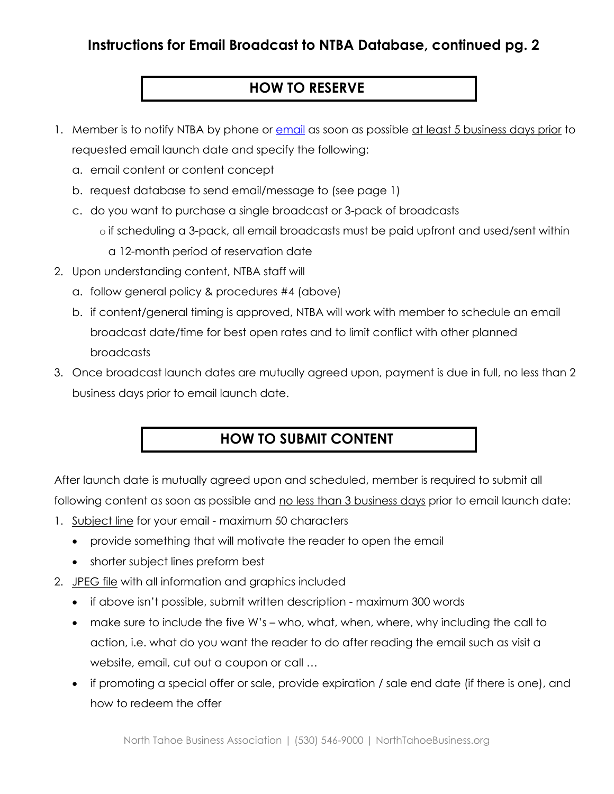## **Instructions for Email Broadcast to NTBA Database, continued pg. 2**

### **HOW TO RESERVE**

- 1. Member is to notify NTBA by phone or [email](mailto:katie@northtahoebusiness.org?subject=Member%20Content%20Submission) as soon as possible at least 5 business days prior to requested email launch date and specify the following:
	- a. email content or content concept
	- b. request database to send email/message to (see page 1)
	- c. do you want to purchase a single broadcast or 3-pack of broadcasts
		- o if scheduling a 3-pack, all email broadcasts must be paid upfront and used/sent within a 12-month period of reservation date
- 2. Upon understanding content, NTBA staff will
	- a. follow general policy & procedures #4 (above)
	- b. if content/general timing is approved, NTBA will work with member to schedule an email broadcast date/time for best open rates and to limit conflict with other planned broadcasts
- 3. Once broadcast launch dates are mutually agreed upon, payment is due in full, no less than 2 business days prior to email launch date.

#### **HOW TO SUBMIT CONTENT**

After launch date is mutually agreed upon and scheduled, member is required to submit all following content as soon as possible and no less than 3 business days prior to email launch date:

- 1. Subject line for your email maximum 50 characters
	- provide something that will motivate the reader to open the email
	- shorter subject lines preform best
- 2. JPEG file with all information and graphics included
	- if above isn't possible, submit written description maximum 300 words
	- make sure to include the five W's who, what, when, where, why including the call to action, i.e. what do you want the reader to do after reading the email such as visit a website, email, cut out a coupon or call …
	- if promoting a special offer or sale, provide expiration / sale end date (if there is one), and how to redeem the offer